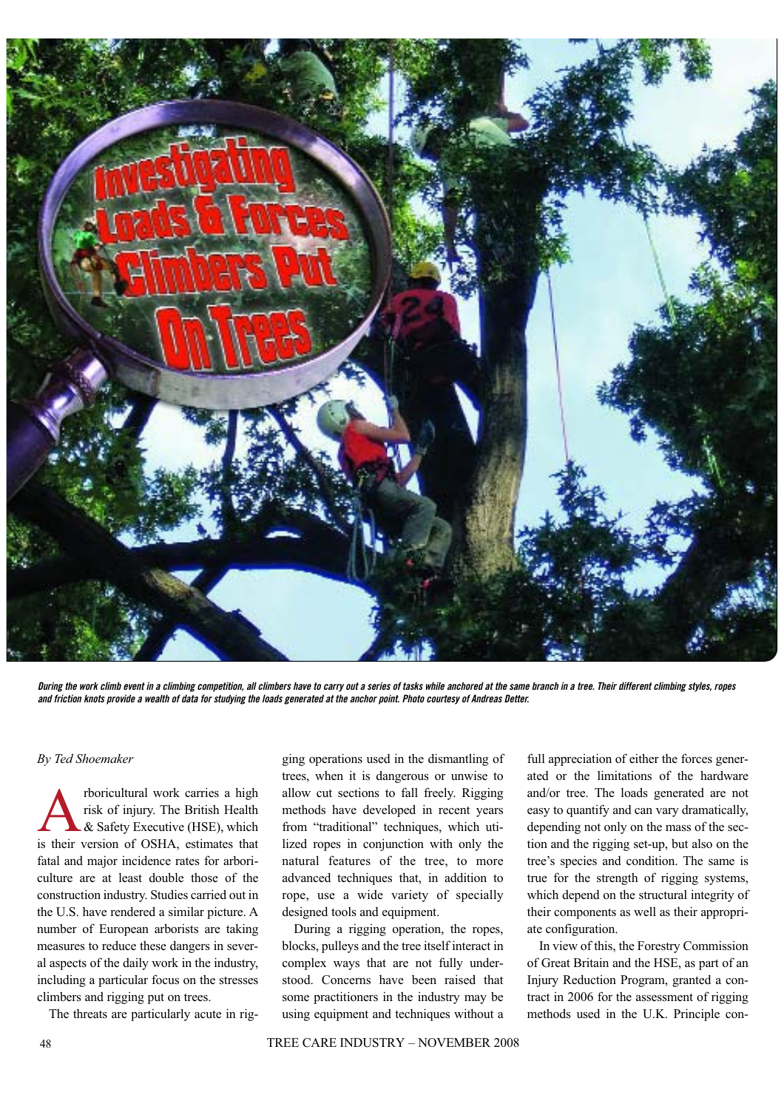

**During the work climb event in a climbing competition, all climbers have to carry out a series of tasks while anchored at the same branch in a tree. Their different climbing styles, ropes and friction knots provide a wealth of data for studying the loads generated at the anchor point. Photo courtesy of Andreas Detter.**

## *By Ted Shoemaker*

**A** risk of injury. The British Health<br>& Safety Executive (HSE), which<br>is their version of OSHA estimates that risk of injury. The British Health & Safety Executive (HSE), which is their version of OSHA, estimates that fatal and major incidence rates for arboriculture are at least double those of the construction industry. Studies carried out in the U.S. have rendered a similar picture. A number of European arborists are taking measures to reduce these dangers in several aspects of the daily work in the industry, including a particular focus on the stresses climbers and rigging put on trees.

The threats are particularly acute in rig-

ging operations used in the dismantling of trees, when it is dangerous or unwise to allow cut sections to fall freely. Rigging methods have developed in recent years from "traditional" techniques, which utilized ropes in conjunction with only the natural features of the tree, to more advanced techniques that, in addition to rope, use a wide variety of specially designed tools and equipment.

During a rigging operation, the ropes, blocks, pulleys and the tree itself interact in complex ways that are not fully understood. Concerns have been raised that some practitioners in the industry may be using equipment and techniques without a

full appreciation of either the forces generated or the limitations of the hardware and/or tree. The loads generated are not easy to quantify and can vary dramatically, depending not only on the mass of the section and the rigging set-up, but also on the tree's species and condition. The same is true for the strength of rigging systems, which depend on the structural integrity of their components as well as their appropriate configuration.

In view of this, the Forestry Commission of Great Britain and the HSE, as part of an Injury Reduction Program, granted a contract in 2006 for the assessment of rigging methods used in the U.K. Principle con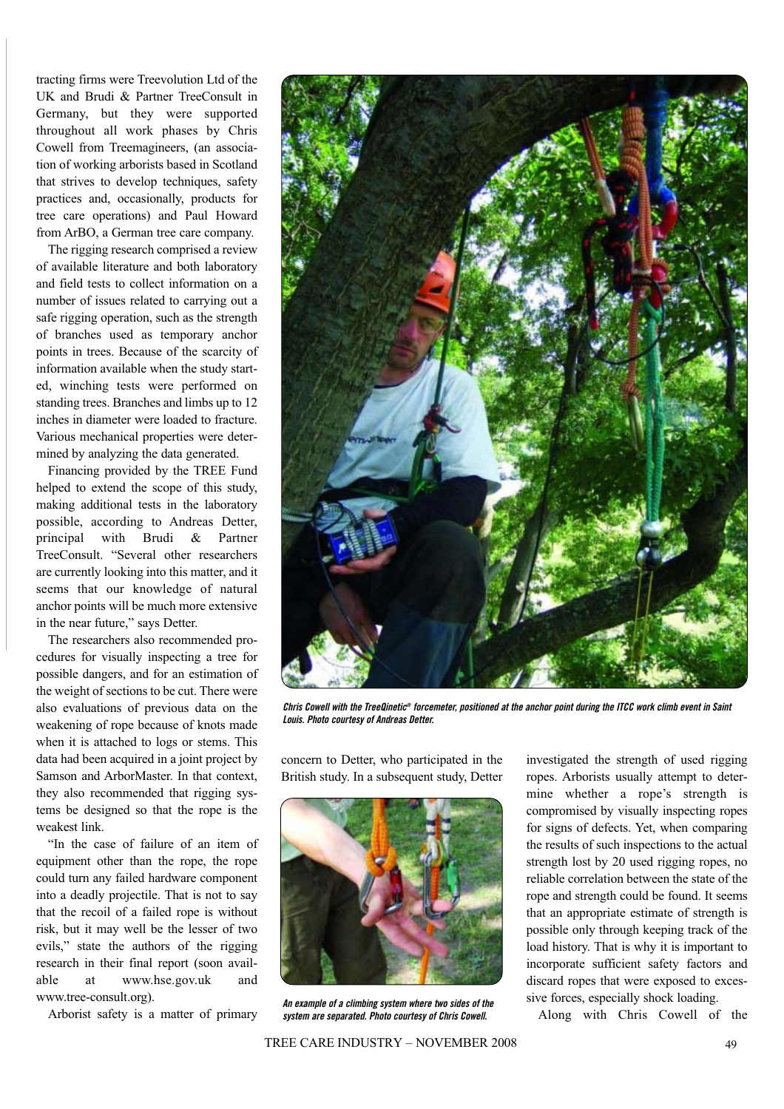tracting firms were Treevolution Ltd of the UK and Brudi & Partner TreeConsult in Germany, but they were supported throughout all work phases by Chris Cowell from Treemagineers, (an association of working arborists based in Scotland that strives to develop techniques, safety practices and, occasionally, products for tree care operations) and Paul Howard from ArBO, a German tree care company.

The rigging research comprised a review of available literature and both laboratory and field tests to collect information on a number of issues related to carrying out a safe rigging operation, such as the strength of branches used as temporary anchor points in trees. Because of the scarcity of information available when the study started, winching tests were performed on standing trees. Branches and limbs up to 12 inches in diameter were loaded to fracture. Various mechanical properties were determined by analyzing the data generated.

Financing provided by the TREE Fund helped to extend the scope of this study, making additional tests in the laboratory possible, according to Andreas Detter, principal with Brudi & Partner TreeConsult. "Several other researchers are currently looking into this matter, and it seems that our knowledge of natural anchor points will be much more extensive in the near future," says Detter.

The researchers also recommended procedures for visually inspecting a tree for possible dangers, and for an estimation of the weight of sections to be cut. There were also evaluations of previous data on the weakening of rope because of knots made when it is attached to logs or stems. This data had been acquired in a joint project by Samson and ArborMaster. In that context, they also recommended that rigging systems be designed so that the rope is the weakest link.

"In the case of failure of an item of equipment other than the rope, the rope could turn any failed hardware component into a deadly projectile. That is not to say that the recoil of a failed rope is without risk, but it may well be the lesser of two evils," state the authors of the rigging research in their final report (soon available at www.hse.gov.uk and www.tree-consult.org).

Arborist safety is a matter of primary



**Chris Cowell with the TreeQinetic® forcemeter, positioned at the anchor point during the ITCC work climb event in Saint Louis. Photo courtesy of Andreas Detter.**

concern to Detter, who participated in the British study. In a subsequent study, Detter



**An example of a climbing system where two sides of the system are separated. Photo courtesy of Chris Cowell.**

investigated the strength of used rigging ropes. Arborists usually attempt to determine whether a rope's strength is compromised by visually inspecting ropes for signs of defects. Yet, when comparing the results of such inspections to the actual strength lost by 20 used rigging ropes, no reliable correlation between the state of the rope and strength could be found. It seems that an appropriate estimate of strength is possible only through keeping track of the load history. That is why it is important to incorporate sufficient safety factors and discard ropes that were exposed to excessive forces, especially shock loading.

Along with Chris Cowell of the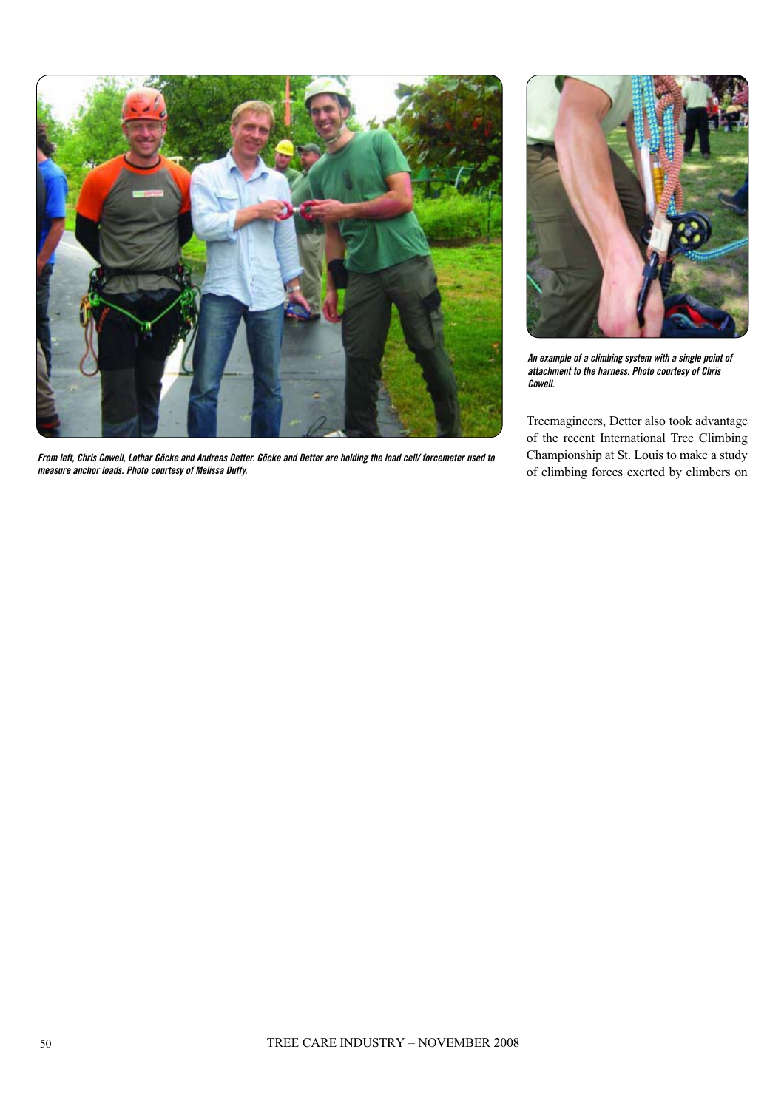

**From left, Chris Cowell, Lothar Göcke and Andreas Detter. Göcke and Detter are holding the load cell/ forcemeter used to measure anchor loads. Photo courtesy of Melissa Duffy.**



**An example of a climbing system with a single point of attachment to the harness. Photo courtesy of Chris Cowell.**

Treemagineers, Detter also took advantage of the recent International Tree Climbing Championship at St. Louis to make a study of climbing forces exerted by climbers on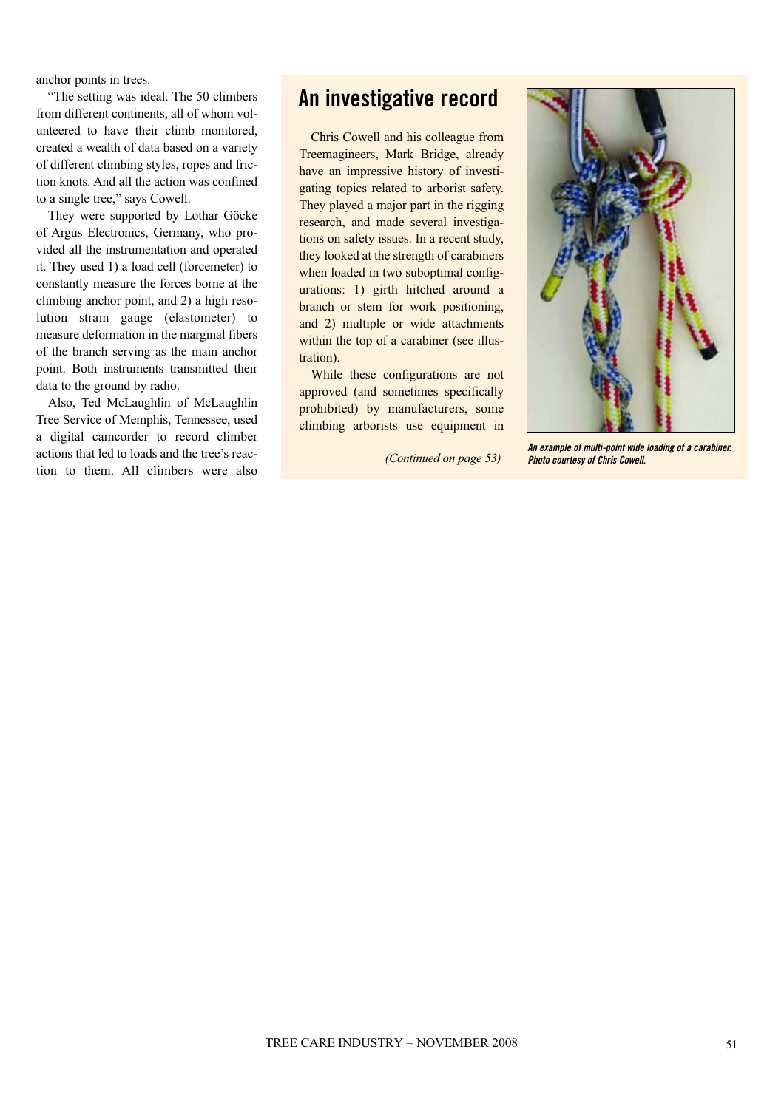anchor points in trees.

"The setting was ideal. The 50 climbers from different continents, all of whom volunteered to have their climb monitored, created a wealth of data based on a variety of different climbing styles, ropes and friction knots. And all the action was confined to a single tree," says Cowell.

They were supported by Lothar Göcke of Argus Electronics, Germany, who provided all the instrumentation and operated it. They used 1) a load cell (forcemeter) to constantly measure the forces borne at the climbing anchor point, and 2) a high resolution strain gauge (elastometer) to measure deformation in the marginal fibers of the branch serving as the main anchor point. Both instruments transmitted their data to the ground by radio.

Also, Ted McLaughlin of McLaughlin Tree Service of Memphis, Tennessee, used a digital camcorder to record climber actions that led to loads and the tree's reaction to them. All climbers were also

## **An investigative record**

Chris Cowell and his colleague from Treemagineers, Mark Bridge, already have an impressive history of investigating topics related to arborist safety. They played a major part in the rigging research, and made several investigations on safety issues. In a recent study, they looked at the strength of carabiners when loaded in two suboptimal configurations: 1) girth hitched around a branch or stem for work positioning, and 2) multiple or wide attachments within the top of a carabiner (see illustration).

While these configurations are not approved (and sometimes specifically prohibited) by manufacturers, some climbing arborists use equipment in



**An example of multi-point wide loading of a carabiner.** *(Continued on page 53)* **Photo courtesy of Chris Cowell.**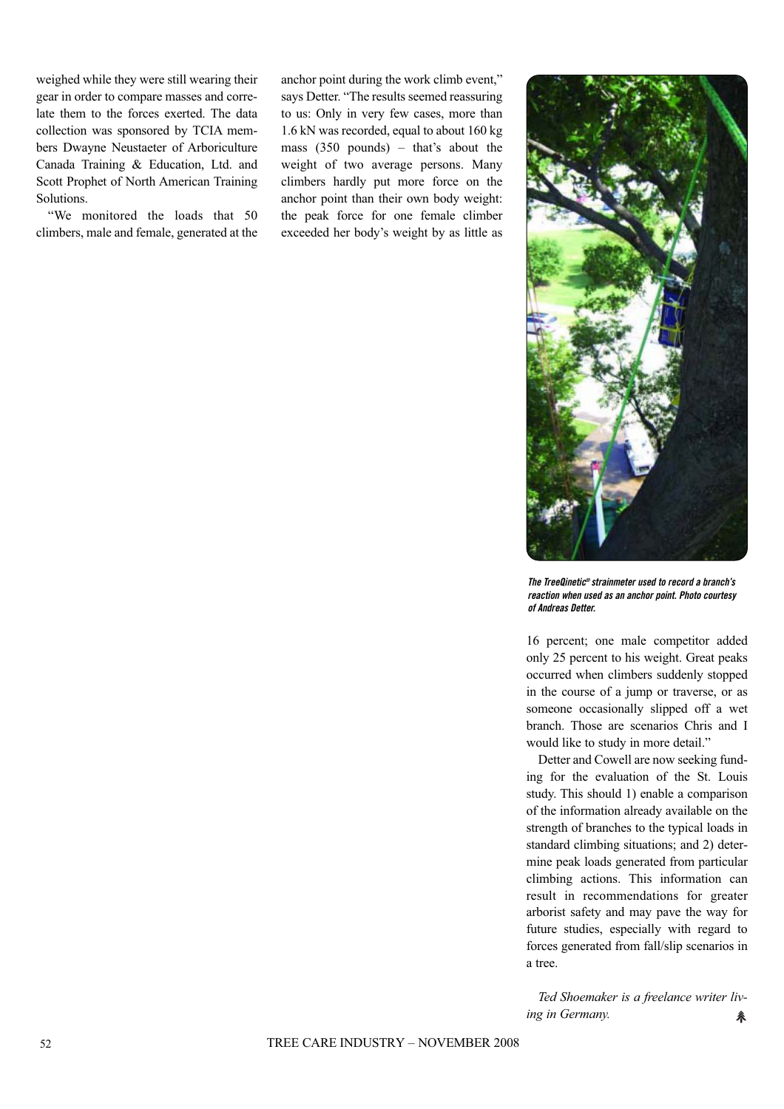weighed while they were still wearing their gear in order to compare masses and correlate them to the forces exerted. The data collection was sponsored by TCIA members Dwayne Neustaeter of Arboriculture Canada Training & Education, Ltd. and Scott Prophet of North American Training Solutions.

"We monitored the loads that 50 climbers, male and female, generated at the

anchor point during the work climb event," says Detter. "The results seemed reassuring to us: Only in very few cases, more than 1.6 kN was recorded, equal to about 160 kg mass (350 pounds) – that's about the weight of two average persons. Many climbers hardly put more force on the anchor point than their own body weight: the peak force for one female climber exceeded her body's weight by as little as



**The TreeQinetic® strainmeter used to record a branch's reaction when used as an anchor point. Photo courtesy of Andreas Detter.**

16 percent; one male competitor added only 25 percent to his weight. Great peaks occurred when climbers suddenly stopped in the course of a jump or traverse, or as someone occasionally slipped off a wet branch. Those are scenarios Chris and I would like to study in more detail."

Detter and Cowell are now seeking funding for the evaluation of the St. Louis study. This should 1) enable a comparison of the information already available on the strength of branches to the typical loads in standard climbing situations; and 2) determine peak loads generated from particular climbing actions. This information can result in recommendations for greater arborist safety and may pave the way for future studies, especially with regard to forces generated from fall/slip scenarios in a tree.

*Ted Shoemaker is a freelance writer living in Germany.* 糸